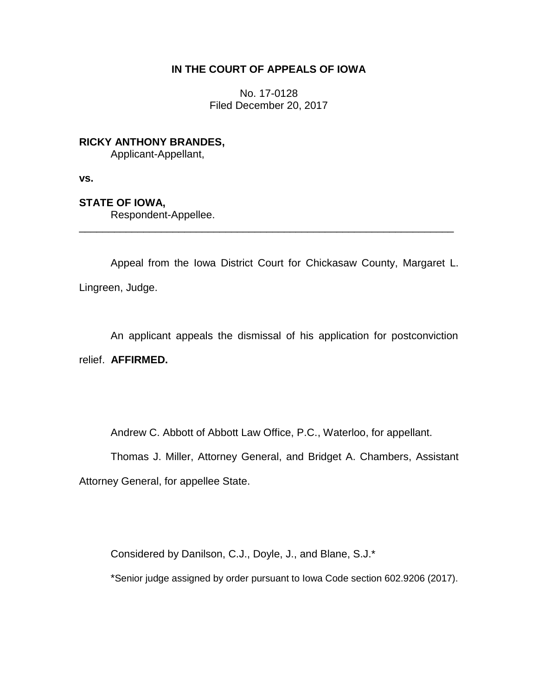## **IN THE COURT OF APPEALS OF IOWA**

No. 17-0128 Filed December 20, 2017

**RICKY ANTHONY BRANDES,** Applicant-Appellant,

**vs.**

**STATE OF IOWA,**

Respondent-Appellee.

Appeal from the Iowa District Court for Chickasaw County, Margaret L. Lingreen, Judge.

\_\_\_\_\_\_\_\_\_\_\_\_\_\_\_\_\_\_\_\_\_\_\_\_\_\_\_\_\_\_\_\_\_\_\_\_\_\_\_\_\_\_\_\_\_\_\_\_\_\_\_\_\_\_\_\_\_\_\_\_\_\_\_\_

An applicant appeals the dismissal of his application for postconviction relief. **AFFIRMED.**

Andrew C. Abbott of Abbott Law Office, P.C., Waterloo, for appellant.

Thomas J. Miller, Attorney General, and Bridget A. Chambers, Assistant Attorney General, for appellee State.

Considered by Danilson, C.J., Doyle, J., and Blane, S.J.\*

\*Senior judge assigned by order pursuant to Iowa Code section 602.9206 (2017).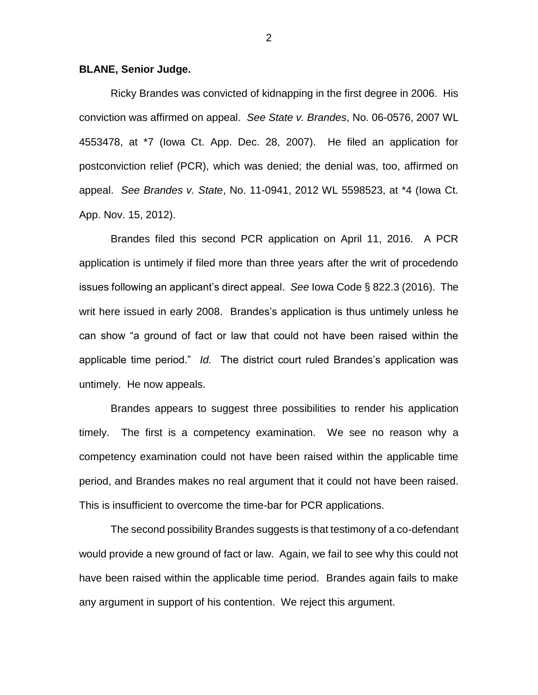## **BLANE, Senior Judge.**

Ricky Brandes was convicted of kidnapping in the first degree in 2006. His conviction was affirmed on appeal. *See State v. Brandes*, No. 06-0576, 2007 WL 4553478, at \*7 (Iowa Ct. App. Dec. 28, 2007). He filed an application for postconviction relief (PCR), which was denied; the denial was, too, affirmed on appeal. *See Brandes v. State*, No. 11-0941, 2012 WL 5598523, at \*4 (Iowa Ct. App. Nov. 15, 2012).

Brandes filed this second PCR application on April 11, 2016. A PCR application is untimely if filed more than three years after the writ of procedendo issues following an applicant's direct appeal. *See* Iowa Code § 822.3 (2016). The writ here issued in early 2008. Brandes's application is thus untimely unless he can show "a ground of fact or law that could not have been raised within the applicable time period." *Id.* The district court ruled Brandes's application was untimely. He now appeals.

Brandes appears to suggest three possibilities to render his application timely. The first is a competency examination. We see no reason why a competency examination could not have been raised within the applicable time period, and Brandes makes no real argument that it could not have been raised. This is insufficient to overcome the time-bar for PCR applications.

The second possibility Brandes suggests is that testimony of a co-defendant would provide a new ground of fact or law. Again, we fail to see why this could not have been raised within the applicable time period. Brandes again fails to make any argument in support of his contention. We reject this argument.

2